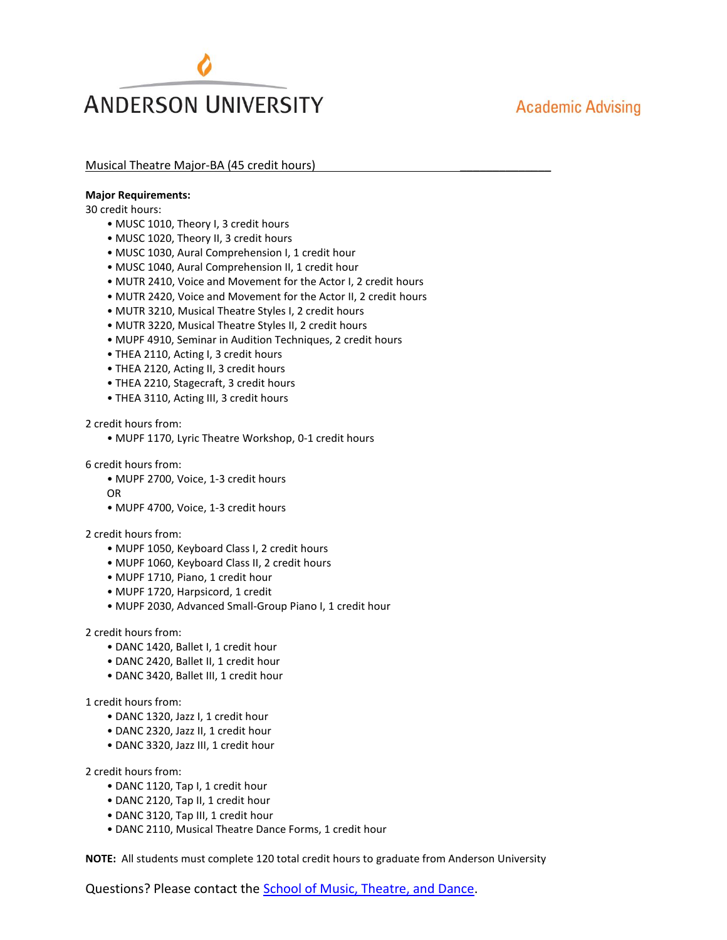# **ANDERSON UNIVERSITY**

## **Academic Advising**

#### Musical Theatre Major-BA (45 credit hours)

#### **Major Requirements:**

30 credit hours:

- MUSC 1010, Theory I, 3 credit hours
- MUSC 1020, Theory II, 3 credit hours
- MUSC 1030, Aural Comprehension I, 1 credit hour
- MUSC 1040, Aural Comprehension II, 1 credit hour
- MUTR 2410, Voice and Movement for the Actor I, 2 credit hours
- MUTR 2420, Voice and Movement for the Actor II, 2 credit hours
- MUTR 3210, Musical Theatre Styles I, 2 credit hours
- MUTR 3220, Musical Theatre Styles II, 2 credit hours
- MUPF 4910, Seminar in Audition Techniques, 2 credit hours
- THEA 2110, Acting I, 3 credit hours
- THEA 2120, Acting II, 3 credit hours
- THEA 2210, Stagecraft, 3 credit hours
- THEA 3110, Acting III, 3 credit hours

#### 2 credit hours from:

• MUPF 1170, Lyric Theatre Workshop, 0-1 credit hours

#### 6 credit hours from:

- MUPF 2700, Voice, 1-3 credit hours
- OR
- MUPF 4700, Voice, 1-3 credit hours

#### 2 credit hours from:

- MUPF 1050, Keyboard Class I, 2 credit hours
- MUPF 1060, Keyboard Class II, 2 credit hours
- MUPF 1710, Piano, 1 credit hour
- MUPF 1720, Harpsicord, 1 credit
- MUPF 2030, Advanced Small-Group Piano I, 1 credit hour

#### 2 credit hours from:

- DANC 1420, Ballet I, 1 credit hour
- DANC 2420, Ballet II, 1 credit hour
- DANC 3420, Ballet III, 1 credit hour

#### 1 credit hours from:

- DANC 1320, Jazz I, 1 credit hour
- DANC 2320, Jazz II, 1 credit hour
- DANC 3320, Jazz III, 1 credit hour

2 credit hours from:

- DANC 1120, Tap I, 1 credit hour
- DANC 2120, Tap II, 1 credit hour
- DANC 3120, Tap III, 1 credit hour
- DANC 2110, Musical Theatre Dance Forms, 1 credit hour

**NOTE:** All students must complete 120 total credit hours to graduate from Anderson University

Questions? Please contact the [School of Music, Theatre, and Dance.](http://www.anderson.edu/music-theatre-dance)